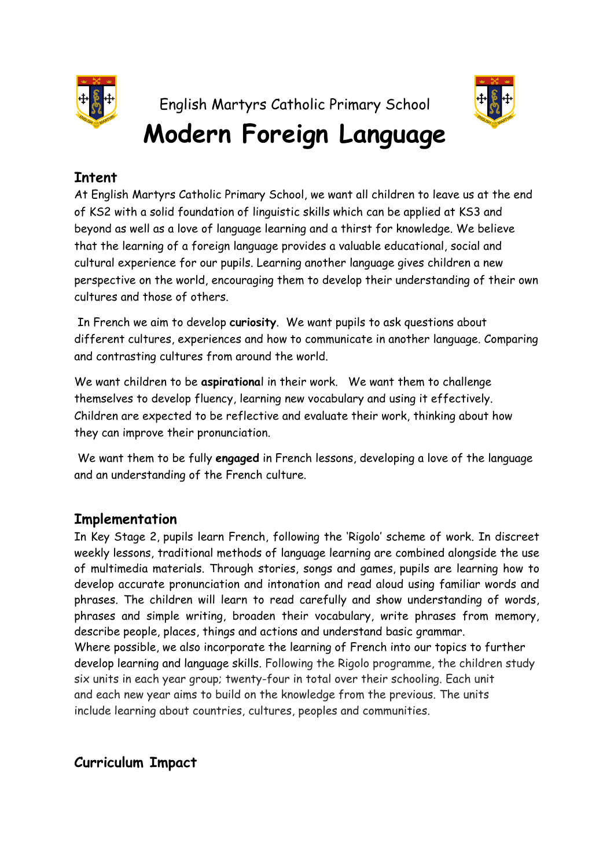

English Martyrs Catholic Primary School **Modern Foreign Language**



## **Intent**

At English Martyrs Catholic Primary School, we want all children to leave us at the end of KS2 with a solid foundation of linguistic skills which can be applied at KS3 and beyond as well as a love of language learning and a thirst for knowledge. We believe that the learning of a foreign language provides a valuable educational, social and cultural experience for our pupils. Learning another language gives children a new perspective on the world, encouraging them to develop their understanding of their own cultures and those of others.

In French we aim to develop **curiosity**. We want pupils to ask questions about different cultures, experiences and how to communicate in another language. Comparing and contrasting cultures from around the world.

We want children to be **aspirationa**l in their work. We want them to challenge themselves to develop fluency, learning new vocabulary and using it effectively. Children are expected to be reflective and evaluate their work, thinking about how they can improve their pronunciation.

We want them to be fully **engaged** in French lessons, developing a love of the language and an understanding of the French culture.

## **Implementation**

In Key Stage 2, pupils learn French, following the 'Rigolo' scheme of work. In discreet weekly lessons, traditional methods of language learning are combined alongside the use of multimedia materials. Through stories, songs and games, pupils are learning how to develop accurate pronunciation and intonation and read aloud using familiar words and phrases. The children will learn to read carefully and show understanding of words, phrases and simple writing, broaden their vocabulary, write phrases from memory, describe people, places, things and actions and understand basic grammar. Where possible, we also incorporate the learning of French into our topics to further develop learning and language skills. Following the Rigolo programme, the children study six units in each year group; twenty-four in total over their schooling. Each unit and each new year aims to build on the knowledge from the previous. The units

include learning about countries, cultures, peoples and communities.

**Curriculum Impact**